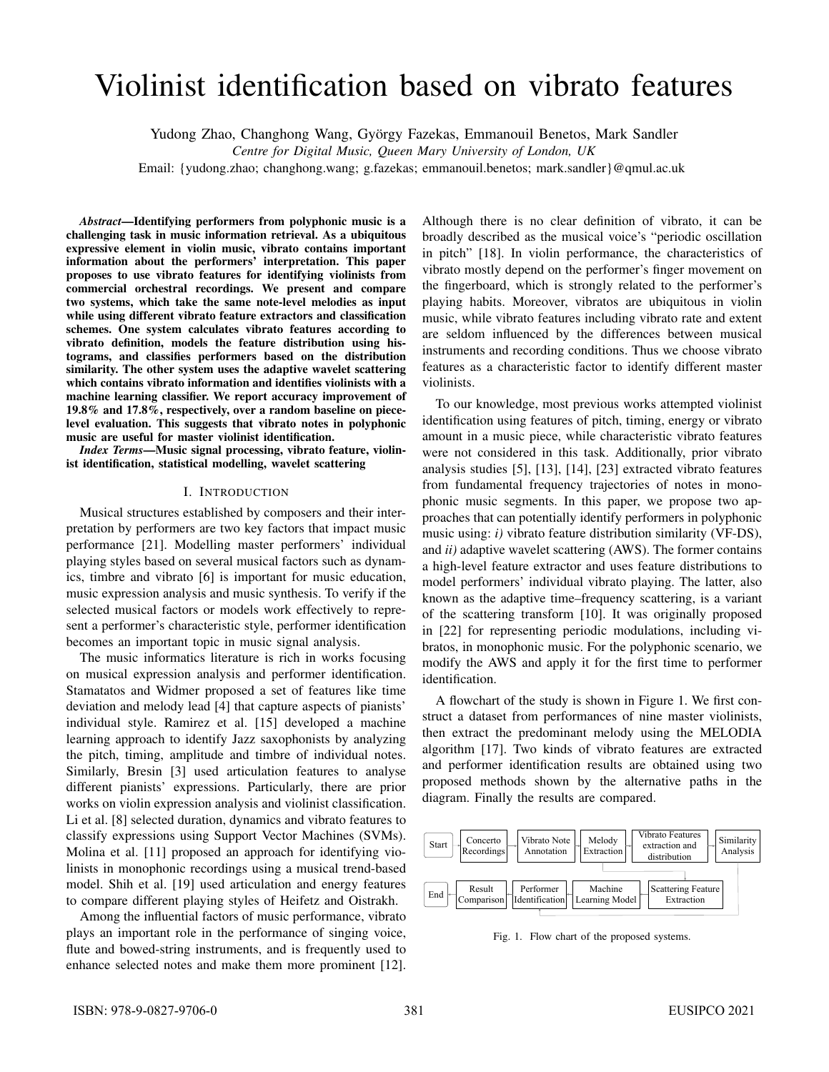# Violinist identification based on vibrato features

Yudong Zhao, Changhong Wang, György Fazekas, Emmanouil Benetos, Mark Sandler

*Centre for Digital Music, Queen Mary University of London, UK*

Email: {yudong.zhao; changhong.wang; g.fazekas; emmanouil.benetos; mark.sandler}@qmul.ac.uk

*Abstract*—Identifying performers from polyphonic music is a challenging task in music information retrieval. As a ubiquitous expressive element in violin music, vibrato contains important information about the performers' interpretation. This paper proposes to use vibrato features for identifying violinists from commercial orchestral recordings. We present and compare two systems, which take the same note-level melodies as input while using different vibrato feature extractors and classification schemes. One system calculates vibrato features according to vibrato definition, models the feature distribution using histograms, and classifies performers based on the distribution similarity. The other system uses the adaptive wavelet scattering which contains vibrato information and identifies violinists with a machine learning classifier. We report accuracy improvement of 19.8% and 17.8%, respectively, over a random baseline on piecelevel evaluation. This suggests that vibrato notes in polyphonic music are useful for master violinist identification.

*Index Terms*—Music signal processing, vibrato feature, violinist identification, statistical modelling, wavelet scattering

## I. INTRODUCTION

Musical structures established by composers and their interpretation by performers are two key factors that impact music performance [21]. Modelling master performers' individual playing styles based on several musical factors such as dynamics, timbre and vibrato [6] is important for music education, music expression analysis and music synthesis. To verify if the selected musical factors or models work effectively to represent a performer's characteristic style, performer identification becomes an important topic in music signal analysis.

The music informatics literature is rich in works focusing on musical expression analysis and performer identification. Stamatatos and Widmer proposed a set of features like time deviation and melody lead [4] that capture aspects of pianists' individual style. Ramirez et al. [15] developed a machine learning approach to identify Jazz saxophonists by analyzing the pitch, timing, amplitude and timbre of individual notes. Similarly, Bresin [3] used articulation features to analyse different pianists' expressions. Particularly, there are prior works on violin expression analysis and violinist classification. Li et al. [8] selected duration, dynamics and vibrato features to classify expressions using Support Vector Machines (SVMs). Molina et al. [11] proposed an approach for identifying violinists in monophonic recordings using a musical trend-based model. Shih et al. [19] used articulation and energy features to compare different playing styles of Heifetz and Oistrakh.

Among the influential factors of music performance, vibrato plays an important role in the performance of singing voice, flute and bowed-string instruments, and is frequently used to enhance selected notes and make them more prominent [12].

Although there is no clear definition of vibrato, it can be broadly described as the musical voice's "periodic oscillation in pitch" [18]. In violin performance, the characteristics of vibrato mostly depend on the performer's finger movement on the fingerboard, which is strongly related to the performer's playing habits. Moreover, vibratos are ubiquitous in violin music, while vibrato features including vibrato rate and extent are seldom influenced by the differences between musical instruments and recording conditions. Thus we choose vibrato features as a characteristic factor to identify different master violinists.

To our knowledge, most previous works attempted violinist identification using features of pitch, timing, energy or vibrato amount in a music piece, while characteristic vibrato features were not considered in this task. Additionally, prior vibrato analysis studies [5], [13], [14], [23] extracted vibrato features from fundamental frequency trajectories of notes in monophonic music segments. In this paper, we propose two approaches that can potentially identify performers in polyphonic music using: *i)* vibrato feature distribution similarity (VF-DS), and *ii)* adaptive wavelet scattering (AWS). The former contains a high-level feature extractor and uses feature distributions to model performers' individual vibrato playing. The latter, also known as the adaptive time–frequency scattering, is a variant of the scattering transform [10]. It was originally proposed in [22] for representing periodic modulations, including vibratos, in monophonic music. For the polyphonic scenario, we modify the AWS and apply it for the first time to performer identification.

A flowchart of the study is shown in Figure 1. We first construct a dataset from performances of nine master violinists, then extract the predominant melody using the MELODIA algorithm [17]. Two kinds of vibrato features are extracted and performer identification results are obtained using two proposed methods shown by the alternative paths in the diagram. Finally the results are compared.



Fig. 1. Flow chart of the proposed systems.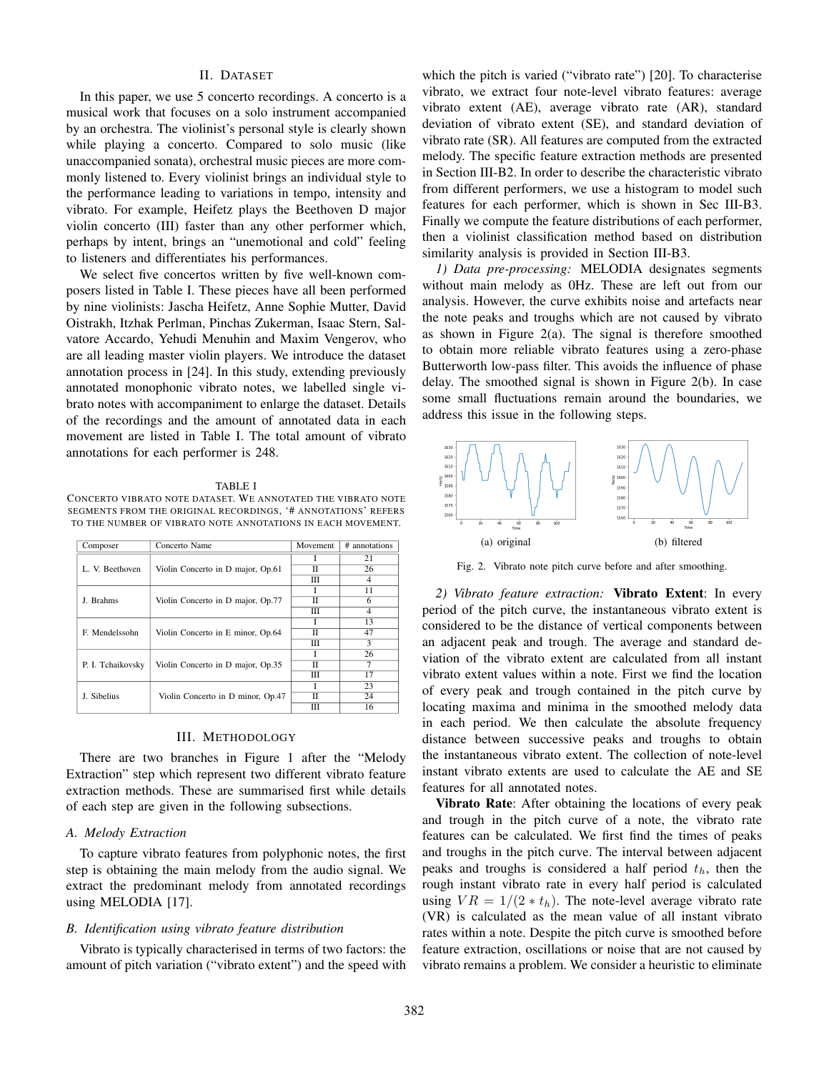# II. DATASET

In this paper, we use 5 concerto recordings. A concerto is a musical work that focuses on a solo instrument accompanied by an orchestra. The violinist's personal style is clearly shown while playing a concerto. Compared to solo music (like unaccompanied sonata), orchestral music pieces are more commonly listened to. Every violinist brings an individual style to the performance leading to variations in tempo, intensity and vibrato. For example, Heifetz plays the Beethoven D major violin concerto (III) faster than any other performer which, perhaps by intent, brings an "unemotional and cold" feeling to listeners and differentiates his performances.

We select five concertos written by five well-known composers listed in Table I. These pieces have all been performed by nine violinists: Jascha Heifetz, Anne Sophie Mutter, David Oistrakh, Itzhak Perlman, Pinchas Zukerman, Isaac Stern, Salvatore Accardo, Yehudi Menuhin and Maxim Vengerov, who are all leading master violin players. We introduce the dataset annotation process in [24]. In this study, extending previously annotated monophonic vibrato notes, we labelled single vibrato notes with accompaniment to enlarge the dataset. Details of the recordings and the amount of annotated data in each movement are listed in Table I. The total amount of vibrato annotations for each performer is 248.

#### TABLE I

CONCERTO VIBRATO NOTE DATASET. WE ANNOTATED THE VIBRATO NOTE SEGMENTS FROM THE ORIGINAL RECORDINGS, '# ANNOTATIONS' REFERS TO THE NUMBER OF VIBRATO NOTE ANNOTATIONS IN EACH MOVEMENT.

| Composer          | Concerto Name                     | Movement | # annotations |
|-------------------|-----------------------------------|----------|---------------|
| L. V. Beethoven   | Violin Concerto in D major, Op.61 |          | 21            |
|                   |                                   | π        | 26            |
|                   |                                   | Ш        | 4             |
| J. Brahms         | Violin Concerto in D major, Op.77 |          | 11            |
|                   |                                   | π        | 6             |
|                   |                                   | Ш        | 4             |
| F. Mendelssohn    | Violin Concerto in E minor, Op.64 |          | 13            |
|                   |                                   | π        | 47            |
|                   |                                   | Ш        | 3             |
| P. I. Tchaikovsky | Violin Concerto in D major, Op.35 |          | 26            |
|                   |                                   | π        |               |
|                   |                                   | Ш        | 17            |
| J. Sibelius       | Violin Concerto in D minor, Op.47 |          | 23            |
|                   |                                   | π        | 24            |
|                   |                                   | Ш        | 16            |

# III. METHODOLOGY

There are two branches in Figure 1 after the "Melody Extraction" step which represent two different vibrato feature extraction methods. These are summarised first while details of each step are given in the following subsections.

# *A. Melody Extraction*

To capture vibrato features from polyphonic notes, the first step is obtaining the main melody from the audio signal. We extract the predominant melody from annotated recordings using MELODIA [17].

# *B. Identification using vibrato feature distribution*

Vibrato is typically characterised in terms of two factors: the amount of pitch variation ("vibrato extent") and the speed with

which the pitch is varied ("vibrato rate") [20]. To characterise vibrato, we extract four note-level vibrato features: average vibrato extent (AE), average vibrato rate (AR), standard deviation of vibrato extent (SE), and standard deviation of vibrato rate (SR). All features are computed from the extracted melody. The specific feature extraction methods are presented in Section III-B2. In order to describe the characteristic vibrato from different performers, we use a histogram to model such features for each performer, which is shown in Sec III-B3. Finally we compute the feature distributions of each performer, then a violinist classification method based on distribution similarity analysis is provided in Section III-B3.

*1) Data pre-processing:* MELODIA designates segments without main melody as 0Hz. These are left out from our analysis. However, the curve exhibits noise and artefacts near the note peaks and troughs which are not caused by vibrato as shown in Figure  $2(a)$ . The signal is therefore smoothed to obtain more reliable vibrato features using a zero-phase Butterworth low-pass filter. This avoids the influence of phase delay. The smoothed signal is shown in Figure 2(b). In case some small fluctuations remain around the boundaries, we address this issue in the following steps.



Fig. 2. Vibrato note pitch curve before and after smoothing.

*2) Vibrato feature extraction:* Vibrato Extent: In every period of the pitch curve, the instantaneous vibrato extent is considered to be the distance of vertical components between an adjacent peak and trough. The average and standard deviation of the vibrato extent are calculated from all instant vibrato extent values within a note. First we find the location of every peak and trough contained in the pitch curve by locating maxima and minima in the smoothed melody data in each period. We then calculate the absolute frequency distance between successive peaks and troughs to obtain the instantaneous vibrato extent. The collection of note-level instant vibrato extents are used to calculate the AE and SE features for all annotated notes.

Vibrato Rate: After obtaining the locations of every peak and trough in the pitch curve of a note, the vibrato rate features can be calculated. We first find the times of peaks and troughs in the pitch curve. The interval between adjacent peaks and troughs is considered a half period  $t<sub>h</sub>$ , then the rough instant vibrato rate in every half period is calculated using  $VR = 1/(2 * t_h)$ . The note-level average vibrato rate (VR) is calculated as the mean value of all instant vibrato rates within a note. Despite the pitch curve is smoothed before feature extraction, oscillations or noise that are not caused by vibrato remains a problem. We consider a heuristic to eliminate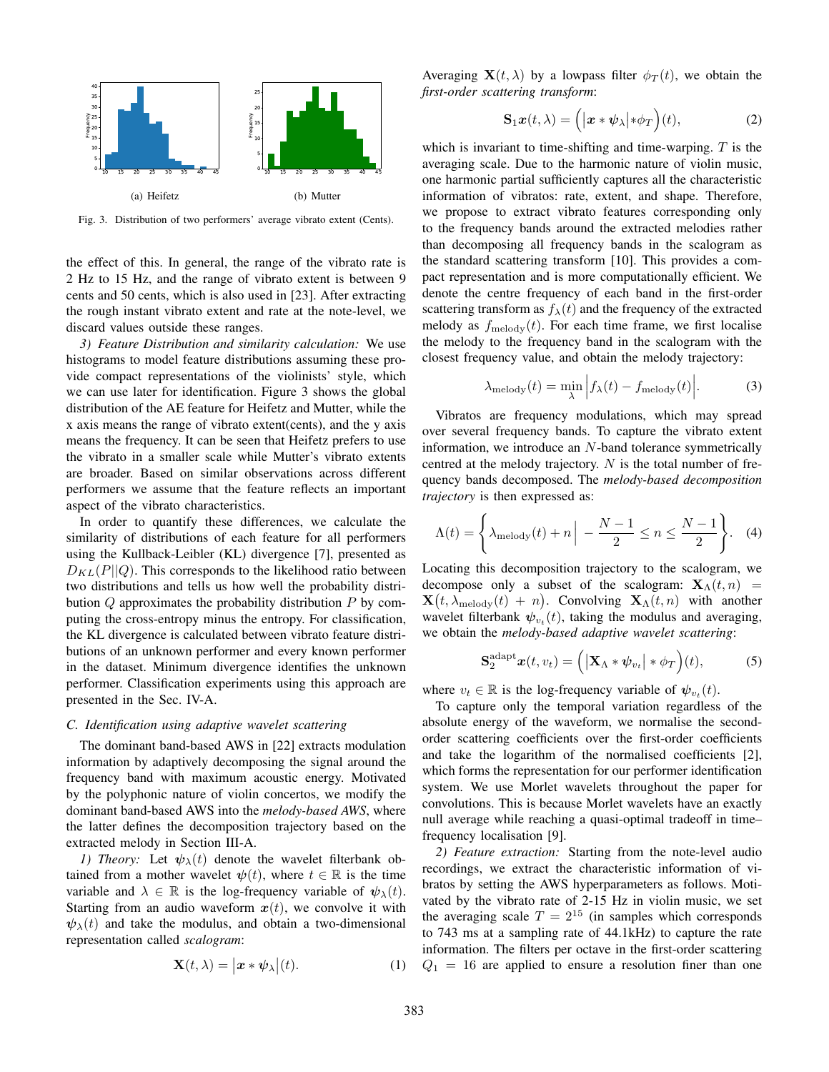

Fig. 3. Distribution of two performers' average vibrato extent (Cents).

the effect of this. In general, the range of the vibrato rate is 2 Hz to 15 Hz, and the range of vibrato extent is between 9 cents and 50 cents, which is also used in [23]. After extracting the rough instant vibrato extent and rate at the note-level, we discard values outside these ranges.

*3) Feature Distribution and similarity calculation:* We use histograms to model feature distributions assuming these provide compact representations of the violinists' style, which we can use later for identification. Figure 3 shows the global distribution of the AE feature for Heifetz and Mutter, while the x axis means the range of vibrato extent(cents), and the y axis means the frequency. It can be seen that Heifetz prefers to use the vibrato in a smaller scale while Mutter's vibrato extents are broader. Based on similar observations across different performers we assume that the feature reflects an important aspect of the vibrato characteristics.

In order to quantify these differences, we calculate the similarity of distributions of each feature for all performers using the Kullback-Leibler (KL) divergence [7], presented as  $D_{KL}(P||Q)$ . This corresponds to the likelihood ratio between two distributions and tells us how well the probability distribution  $Q$  approximates the probability distribution  $P$  by computing the cross-entropy minus the entropy. For classification, the KL divergence is calculated between vibrato feature distributions of an unknown performer and every known performer in the dataset. Minimum divergence identifies the unknown performer. Classification experiments using this approach are presented in the Sec. IV-A.

#### *C. Identification using adaptive wavelet scattering*

The dominant band-based AWS in [22] extracts modulation information by adaptively decomposing the signal around the frequency band with maximum acoustic energy. Motivated by the polyphonic nature of violin concertos, we modify the dominant band-based AWS into the *melody-based AWS*, where the latter defines the decomposition trajectory based on the extracted melody in Section III-A.

*1) Theory:* Let  $\psi_{\lambda}(t)$  denote the wavelet filterbank obtained from a mother wavelet  $\psi(t)$ , where  $t \in \mathbb{R}$  is the time variable and  $\lambda \in \mathbb{R}$  is the log-frequency variable of  $\psi_{\lambda}(t)$ . Starting from an audio waveform  $x(t)$ , we convolve it with  $\psi_{\lambda}(t)$  and take the modulus, and obtain a two-dimensional representation called *scalogram*:

$$
\mathbf{X}(t,\lambda) = \left| \boldsymbol{x} * \boldsymbol{\psi}_{\lambda} \right| (t). \tag{1}
$$

Averaging  $\mathbf{X}(t, \lambda)$  by a lowpass filter  $\phi_T(t)$ , we obtain the *first-order scattering transform*:

$$
\mathbf{S}_1 \boldsymbol{x}(t, \lambda) = \left( |\boldsymbol{x} * \boldsymbol{\psi}_{\lambda}| * \phi_T \right)(t), \tag{2}
$$

which is invariant to time-shifting and time-warping.  $T$  is the averaging scale. Due to the harmonic nature of violin music, one harmonic partial sufficiently captures all the characteristic information of vibratos: rate, extent, and shape. Therefore, we propose to extract vibrato features corresponding only to the frequency bands around the extracted melodies rather than decomposing all frequency bands in the scalogram as the standard scattering transform [10]. This provides a compact representation and is more computationally efficient. We denote the centre frequency of each band in the first-order scattering transform as  $f_{\lambda}(t)$  and the frequency of the extracted melody as  $f_{\text{melody}}(t)$ . For each time frame, we first localise the melody to the frequency band in the scalogram with the closest frequency value, and obtain the melody trajectory:

$$
\lambda_{\text{melody}}(t) = \min_{\lambda} \left| f_{\lambda}(t) - f_{\text{melody}}(t) \right|.
$$
 (3)

Vibratos are frequency modulations, which may spread over several frequency bands. To capture the vibrato extent information, we introduce an  $N$ -band tolerance symmetrically centred at the melody trajectory.  $N$  is the total number of frequency bands decomposed. The *melody-based decomposition trajectory* is then expressed as:

$$
\Lambda(t) = \left\{ \lambda_{\text{melody}}(t) + n \Big| - \frac{N-1}{2} \le n \le \frac{N-1}{2} \right\}. \quad (4)
$$

Locating this decomposition trajectory to the scalogram, we decompose only a subset of the scalogram:  $\mathbf{X}_{\Lambda}(t,n)$  =  $\mathbf{X}(t, \lambda_{\text{melody}}(t) + n)$ . Convolving  $\mathbf{X}_{\Lambda}(t, n)$  with another wavelet filterbank  $\psi_{v_t}(t)$ , taking the modulus and averaging, we obtain the *melody-based adaptive wavelet scattering*:

$$
\mathbf{S}_2^{\text{adapt}} \boldsymbol{x}(t, v_t) = \left( \left| \mathbf{X}_{\Lambda} \ast \boldsymbol{\psi}_{v_t} \right| \ast \phi_T \right)(t), \tag{5}
$$

where  $v_t \in \mathbb{R}$  is the log-frequency variable of  $\psi_{v_t}(t)$ .

To capture only the temporal variation regardless of the absolute energy of the waveform, we normalise the secondorder scattering coefficients over the first-order coefficients and take the logarithm of the normalised coefficients [2], which forms the representation for our performer identification system. We use Morlet wavelets throughout the paper for convolutions. This is because Morlet wavelets have an exactly null average while reaching a quasi-optimal tradeoff in time– frequency localisation [9].

*2) Feature extraction:* Starting from the note-level audio recordings, we extract the characteristic information of vibratos by setting the AWS hyperparameters as follows. Motivated by the vibrato rate of 2-15 Hz in violin music, we set the averaging scale  $T = 2^{15}$  (in samples which corresponds to 743 ms at a sampling rate of 44.1kHz) to capture the rate information. The filters per octave in the first-order scattering  $Q_1 = 16$  are applied to ensure a resolution finer than one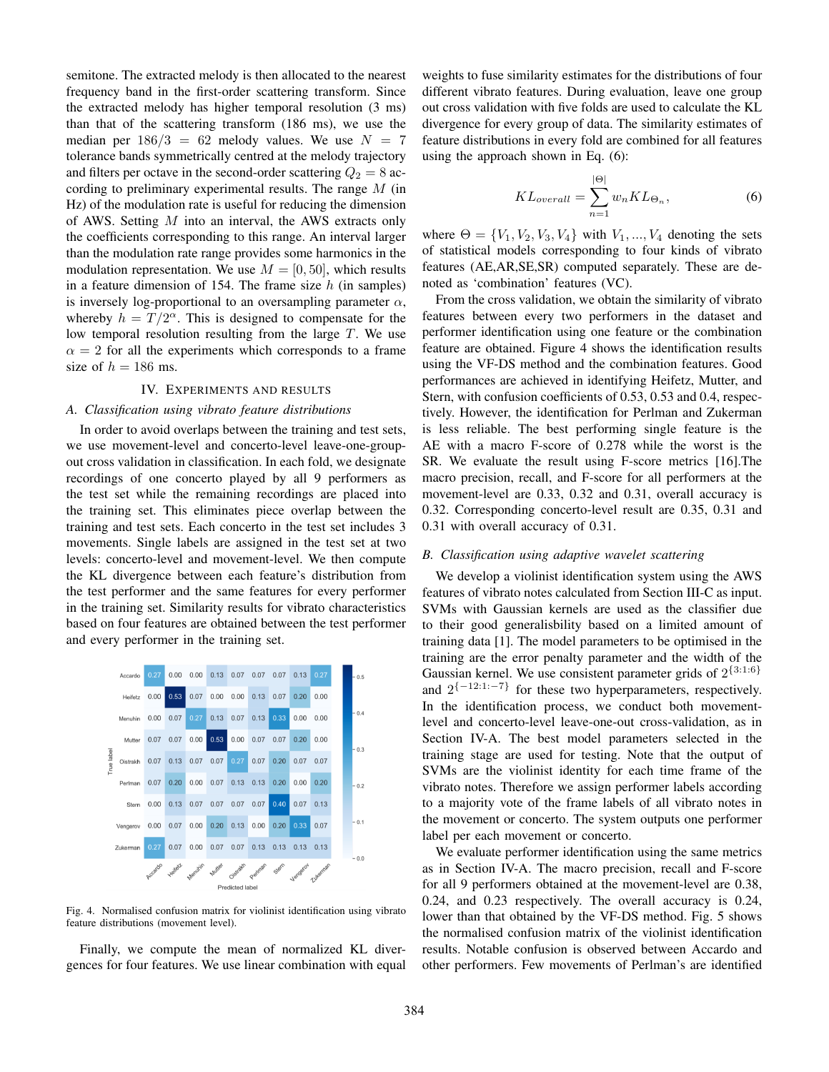semitone. The extracted melody is then allocated to the nearest frequency band in the first-order scattering transform. Since the extracted melody has higher temporal resolution (3 ms) than that of the scattering transform (186 ms), we use the median per  $186/3 = 62$  melody values. We use  $N = 7$ tolerance bands symmetrically centred at the melody trajectory and filters per octave in the second-order scattering  $Q_2 = 8$  according to preliminary experimental results. The range M (in Hz) of the modulation rate is useful for reducing the dimension of AWS. Setting M into an interval, the AWS extracts only the coefficients corresponding to this range. An interval larger than the modulation rate range provides some harmonics in the modulation representation. We use  $M = [0, 50]$ , which results in a feature dimension of 154. The frame size  $h$  (in samples) is inversely log-proportional to an oversampling parameter  $\alpha$ , whereby  $h = T/2^{\alpha}$ . This is designed to compensate for the low temporal resolution resulting from the large  $T$ . We use  $\alpha = 2$  for all the experiments which corresponds to a frame size of  $h = 186$  ms.

# IV. EXPERIMENTS AND RESULTS

## *A. Classification using vibrato feature distributions*

In order to avoid overlaps between the training and test sets, we use movement-level and concerto-level leave-one-groupout cross validation in classification. In each fold, we designate recordings of one concerto played by all 9 performers as the test set while the remaining recordings are placed into the training set. This eliminates piece overlap between the training and test sets. Each concerto in the test set includes 3 movements. Single labels are assigned in the test set at two levels: concerto-level and movement-level. We then compute the KL divergence between each feature's distribution from the test performer and the same features for every performer in the training set. Similarity results for vibrato characteristics based on four features are obtained between the test performer and every performer in the training set.



Fig. 4. Normalised confusion matrix for violinist identification using vibrato feature distributions (movement level).

Finally, we compute the mean of normalized KL divergences for four features. We use linear combination with equal

weights to fuse similarity estimates for the distributions of four different vibrato features. During evaluation, leave one group out cross validation with five folds are used to calculate the KL divergence for every group of data. The similarity estimates of feature distributions in every fold are combined for all features using the approach shown in Eq. (6):

$$
KL_{overall} = \sum_{n=1}^{|\Theta|} w_n KL_{\Theta_n},
$$
 (6)

where  $\Theta = \{V_1, V_2, V_3, V_4\}$  with  $V_1, ..., V_4$  denoting the sets of statistical models corresponding to four kinds of vibrato features (AE,AR,SE,SR) computed separately. These are denoted as 'combination' features (VC).

From the cross validation, we obtain the similarity of vibrato features between every two performers in the dataset and performer identification using one feature or the combination feature are obtained. Figure 4 shows the identification results using the VF-DS method and the combination features. Good performances are achieved in identifying Heifetz, Mutter, and Stern, with confusion coefficients of 0.53, 0.53 and 0.4, respectively. However, the identification for Perlman and Zukerman is less reliable. The best performing single feature is the AE with a macro F-score of 0.278 while the worst is the SR. We evaluate the result using F-score metrics [16].The macro precision, recall, and F-score for all performers at the movement-level are 0.33, 0.32 and 0.31, overall accuracy is 0.32. Corresponding concerto-level result are 0.35, 0.31 and 0.31 with overall accuracy of 0.31.

## *B. Classification using adaptive wavelet scattering*

We develop a violinist identification system using the AWS features of vibrato notes calculated from Section III-C as input. SVMs with Gaussian kernels are used as the classifier due to their good generalisbility based on a limited amount of training data [1]. The model parameters to be optimised in the training are the error penalty parameter and the width of the Gaussian kernel. We use consistent parameter grids of  $2^{\{3:1:6\}}$ and  $2^{\{-12:1:-7\}}$  for these two hyperparameters, respectively. In the identification process, we conduct both movementlevel and concerto-level leave-one-out cross-validation, as in Section IV-A. The best model parameters selected in the training stage are used for testing. Note that the output of SVMs are the violinist identity for each time frame of the vibrato notes. Therefore we assign performer labels according to a majority vote of the frame labels of all vibrato notes in the movement or concerto. The system outputs one performer label per each movement or concerto.

We evaluate performer identification using the same metrics as in Section IV-A. The macro precision, recall and F-score for all 9 performers obtained at the movement-level are 0.38, 0.24, and 0.23 respectively. The overall accuracy is 0.24, lower than that obtained by the VF-DS method. Fig. 5 shows the normalised confusion matrix of the violinist identification results. Notable confusion is observed between Accardo and other performers. Few movements of Perlman's are identified